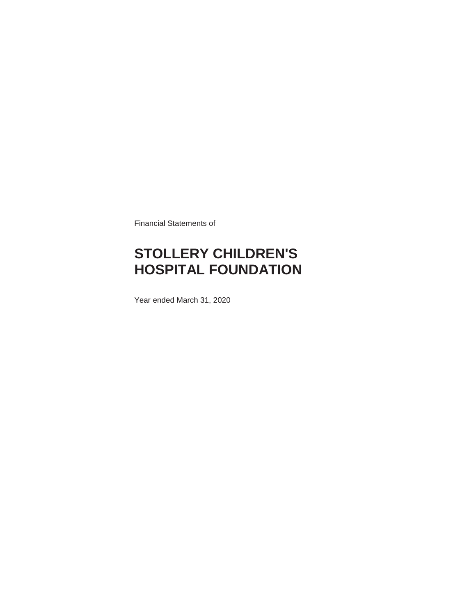Financial Statements of

## **STOLLERY CHILDREN'S HOSPITAL FOUNDATION**

Year ended March 31, 2020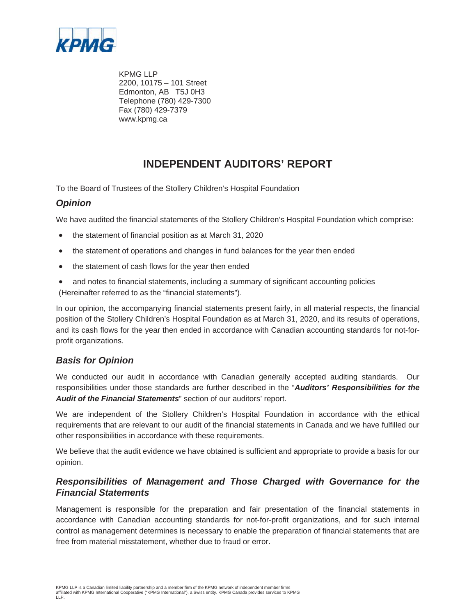

KPMG LLP 2200, 10175 – 101 Street Edmonton, AB T5J 0H3 Telephone (780) 429-7300 Fax (780) 429-7379 www.kpmg.ca

### **INDEPENDENT AUDITORS' REPORT**

To the Board of Trustees of the Stollery Children's Hospital Foundation

### *Opinion*

We have audited the financial statements of the Stollery Children's Hospital Foundation which comprise:

- the statement of financial position as at March 31, 2020
- the statement of operations and changes in fund balances for the year then ended
- the statement of cash flows for the year then ended
- and notes to financial statements, including a summary of significant accounting policies (Hereinafter referred to as the "financial statements").

In our opinion, the accompanying financial statements present fairly, in all material respects, the financial position of the Stollery Children's Hospital Foundation as at March 31, 2020, and its results of operations, and its cash flows for the year then ended in accordance with Canadian accounting standards for not-forprofit organizations.

### *Basis for Opinion*

We conducted our audit in accordance with Canadian generally accepted auditing standards. Our responsibilities under those standards are further described in the "*Auditors' Responsibilities for the Audit of the Financial Statements*" section of our auditors' report.

We are independent of the Stollery Children's Hospital Foundation in accordance with the ethical requirements that are relevant to our audit of the financial statements in Canada and we have fulfilled our other responsibilities in accordance with these requirements.

We believe that the audit evidence we have obtained is sufficient and appropriate to provide a basis for our opinion.

### *Responsibilities of Management and Those Charged with Governance for the Financial Statements*

Management is responsible for the preparation and fair presentation of the financial statements in accordance with Canadian accounting standards for not-for-profit organizations, and for such internal control as management determines is necessary to enable the preparation of financial statements that are free from material misstatement, whether due to fraud or error.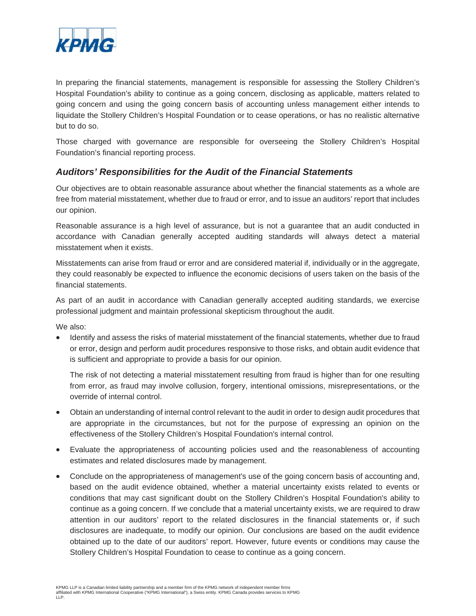

In preparing the financial statements, management is responsible for assessing the Stollery Children's Hospital Foundation's ability to continue as a going concern, disclosing as applicable, matters related to going concern and using the going concern basis of accounting unless management either intends to liquidate the Stollery Children's Hospital Foundation or to cease operations, or has no realistic alternative but to do so.

Those charged with governance are responsible for overseeing the Stollery Children's Hospital Foundation's financial reporting process.

### *Auditors' Responsibilities for the Audit of the Financial Statements*

Our objectives are to obtain reasonable assurance about whether the financial statements as a whole are free from material misstatement, whether due to fraud or error, and to issue an auditors' report that includes our opinion.

Reasonable assurance is a high level of assurance, but is not a guarantee that an audit conducted in accordance with Canadian generally accepted auditing standards will always detect a material misstatement when it exists.

Misstatements can arise from fraud or error and are considered material if, individually or in the aggregate, they could reasonably be expected to influence the economic decisions of users taken on the basis of the financial statements.

As part of an audit in accordance with Canadian generally accepted auditing standards, we exercise professional judgment and maintain professional skepticism throughout the audit.

We also:

Identify and assess the risks of material misstatement of the financial statements, whether due to fraud or error, design and perform audit procedures responsive to those risks, and obtain audit evidence that is sufficient and appropriate to provide a basis for our opinion.

The risk of not detecting a material misstatement resulting from fraud is higher than for one resulting from error, as fraud may involve collusion, forgery, intentional omissions, misrepresentations, or the override of internal control.

- x Obtain an understanding of internal control relevant to the audit in order to design audit procedures that are appropriate in the circumstances, but not for the purpose of expressing an opinion on the effectiveness of the Stollery Children's Hospital Foundation's internal control.
- Evaluate the appropriateness of accounting policies used and the reasonableness of accounting estimates and related disclosures made by management.
- Conclude on the appropriateness of management's use of the going concern basis of accounting and, based on the audit evidence obtained, whether a material uncertainty exists related to events or conditions that may cast significant doubt on the Stollery Children's Hospital Foundation's ability to continue as a going concern. If we conclude that a material uncertainty exists, we are required to draw attention in our auditors' report to the related disclosures in the financial statements or, if such disclosures are inadequate, to modify our opinion. Our conclusions are based on the audit evidence obtained up to the date of our auditors' report. However, future events or conditions may cause the Stollery Children's Hospital Foundation to cease to continue as a going concern.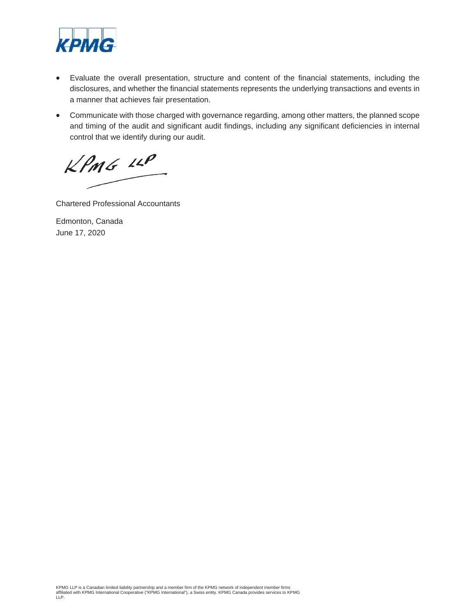

- Evaluate the overall presentation, structure and content of the financial statements, including the disclosures, and whether the financial statements represents the underlying transactions and events in a manner that achieves fair presentation.
- Communicate with those charged with governance regarding, among other matters, the planned scope and timing of the audit and significant audit findings, including any significant deficiencies in internal control that we identify during our audit.

 $KPMG$  14P

Chartered Professional Accountants

Edmonton, Canada June 17, 2020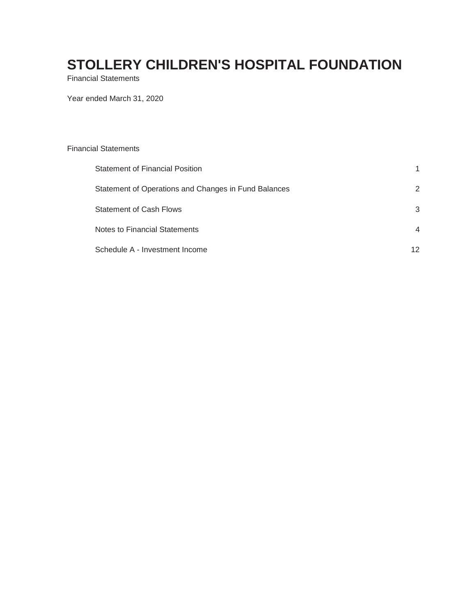Financial Statements

Year ended March 31, 2020

| <b>Financial Statements</b>                          |                |
|------------------------------------------------------|----------------|
| <b>Statement of Financial Position</b>               |                |
| Statement of Operations and Changes in Fund Balances | 2              |
| <b>Statement of Cash Flows</b>                       | 3              |
| Notes to Financial Statements                        | $\overline{4}$ |
| Schedule A - Investment Income                       | 12             |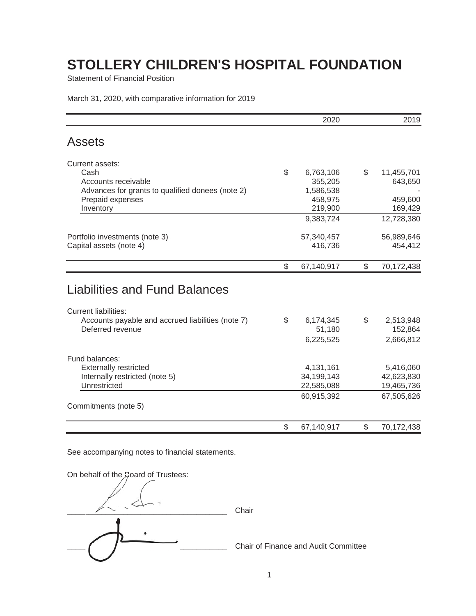Statement of Financial Position

March 31, 2020, with comparative information for 2019

|                                                   | 2020               |              | 2019               |
|---------------------------------------------------|--------------------|--------------|--------------------|
| <b>Assets</b>                                     |                    |              |                    |
| Current assets:                                   |                    |              |                    |
| Cash                                              | \$<br>6,763,106    | \$           | 11,455,701         |
| Accounts receivable                               | 355,205            |              | 643,650            |
| Advances for grants to qualified donees (note 2)  | 1,586,538          |              |                    |
| Prepaid expenses<br>Inventory                     | 458,975<br>219,900 |              | 459,600<br>169,429 |
|                                                   | 9,383,724          |              | 12,728,380         |
|                                                   |                    |              |                    |
| Portfolio investments (note 3)                    | 57,340,457         |              | 56,989,646         |
| Capital assets (note 4)                           | 416,736            |              | 454,412            |
|                                                   | \$<br>67,140,917   | $\mathbb{S}$ | 70,172,438         |
| <b>Liabilities and Fund Balances</b>              |                    |              |                    |
| <b>Current liabilities:</b>                       |                    |              |                    |
| Accounts payable and accrued liabilities (note 7) | \$<br>6,174,345    | \$           | 2,513,948          |
| Deferred revenue                                  | 51,180             |              | 152,864            |
|                                                   | 6,225,525          |              | 2,666,812          |
| Fund balances:                                    |                    |              |                    |
| <b>Externally restricted</b>                      | 4,131,161          |              | 5,416,060          |
| Internally restricted (note 5)                    | 34,199,143         |              | 42,623,830         |
| Unrestricted                                      | 22,585,088         |              | 19,465,736         |
|                                                   | 60,915,392         |              | 67,505,626         |
| Commitments (note 5)                              |                    |              |                    |
|                                                   | \$<br>67,140,917   | \$           | 70,172,438         |

See accompanying notes to financial statements.

On behalf of the Board of Trustees:

\_\_\_\_\_\_\_\_\_\_\_\_\_\_\_\_\_\_\_\_\_\_\_\_\_\_\_\_\_\_\_\_\_\_\_\_\_ Chair \_\_\_\_\_\_\_\_\_\_\_\_\_\_\_\_\_\_\_\_\_\_\_\_\_\_\_\_\_\_\_\_\_\_\_\_\_ Chair of Finance and Audit Committee  $\sqrt{2}$  $\sqrt{2}$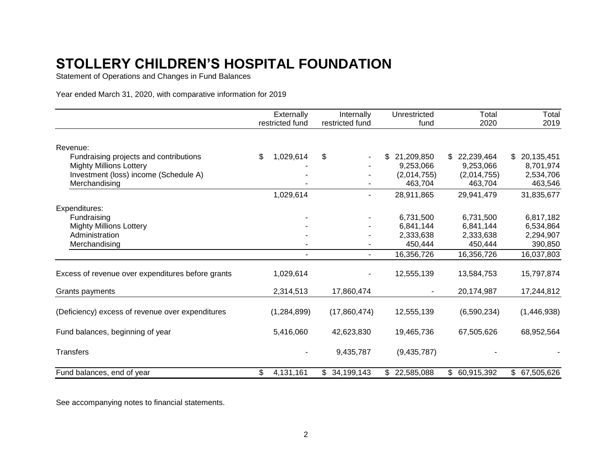Statement of Operations and Changes in Fund Balances

Year ended March 31, 2020, with comparative information for 2019

|                                                   | Externally      | Internally       | Unrestricted | Total         | Total         |
|---------------------------------------------------|-----------------|------------------|--------------|---------------|---------------|
|                                                   | restricted fund | restricted fund  | fund         | 2020          | 2019          |
| Revenue:                                          |                 |                  |              |               |               |
| Fundraising projects and contributions            | 1,029,614<br>\$ | \$               | \$21,209,850 | \$22,239,464  | \$20,135,451  |
| <b>Mighty Millions Lottery</b>                    |                 |                  | 9,253,066    | 9,253,066     | 8,701,974     |
| Investment (loss) income (Schedule A)             |                 |                  | (2,014,755)  | (2,014,755)   | 2,534,706     |
| Merchandising                                     |                 |                  | 463,704      | 463,704       | 463,546       |
|                                                   | 1,029,614       | ۰                | 28,911,865   | 29,941,479    | 31,835,677    |
| Expenditures:                                     |                 |                  |              |               |               |
| Fundraising                                       |                 |                  | 6,731,500    | 6,731,500     | 6,817,182     |
| <b>Mighty Millions Lottery</b>                    |                 |                  | 6,841,144    | 6,841,144     | 6,534,864     |
| Administration                                    |                 |                  | 2,333,638    | 2,333,638     | 2,294,907     |
| Merchandising                                     |                 |                  | 450,444      | 450,444       | 390,850       |
|                                                   |                 | $\blacksquare$   | 16,356,726   | 16,356,726    | 16,037,803    |
| Excess of revenue over expenditures before grants | 1,029,614       |                  | 12,555,139   | 13,584,753    | 15,797,874    |
| Grants payments                                   | 2,314,513       | 17,860,474       |              | 20,174,987    | 17,244,812    |
| (Deficiency) excess of revenue over expenditures  | (1,284,899)     | (17,860,474)     | 12,555,139   | (6,590,234)   | (1,446,938)   |
| Fund balances, beginning of year                  | 5,416,060       | 42,623,830       | 19,465,736   | 67,505,626    | 68,952,564    |
| <b>Transfers</b>                                  |                 | 9,435,787        | (9,435,787)  |               |               |
| Fund balances, end of year                        | \$<br>4,131,161 | 34,199,143<br>\$ | \$22,585,088 | \$ 60,915,392 | \$ 67,505,626 |

See accompanying notes to financial statements.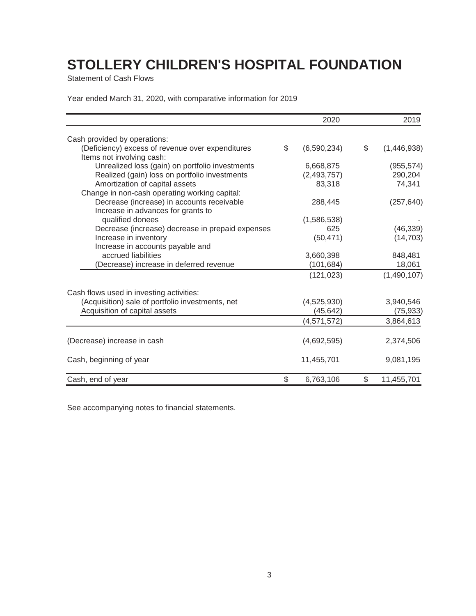Statement of Cash Flows

Year ended March 31, 2020, with comparative information for 2019

|                                                  | 2020              | 2019              |
|--------------------------------------------------|-------------------|-------------------|
| Cash provided by operations:                     |                   |                   |
| (Deficiency) excess of revenue over expenditures | \$<br>(6,590,234) | \$<br>(1,446,938) |
| Items not involving cash:                        |                   |                   |
| Unrealized loss (gain) on portfolio investments  | 6,668,875         | (955, 574)        |
| Realized (gain) loss on portfolio investments    | (2,493,757)       | 290,204           |
| Amortization of capital assets                   | 83,318            | 74,341            |
| Change in non-cash operating working capital:    |                   |                   |
| Decrease (increase) in accounts receivable       | 288,445           | (257, 640)        |
| Increase in advances for grants to               |                   |                   |
| qualified donees                                 | (1,586,538)       |                   |
| Decrease (increase) decrease in prepaid expenses | 625               | (46, 339)         |
| Increase in inventory                            | (50, 471)         | (14, 703)         |
| Increase in accounts payable and                 |                   |                   |
| accrued liabilities                              | 3,660,398         | 848,481           |
| (Decrease) increase in deferred revenue          | (101, 684)        | 18,061            |
|                                                  | (121, 023)        | (1,490,107)       |
| Cash flows used in investing activities:         |                   |                   |
| (Acquisition) sale of portfolio investments, net | (4,525,930)       | 3,940,546         |
| Acquisition of capital assets                    | (45, 642)         | (75, 933)         |
|                                                  | (4,571,572)       | 3,864,613         |
| (Decrease) increase in cash                      | (4,692,595)       | 2,374,506         |
| Cash, beginning of year                          | 11,455,701        | 9,081,195         |
| Cash, end of year                                | \$<br>6,763,106   | \$<br>11,455,701  |

See accompanying notes to financial statements.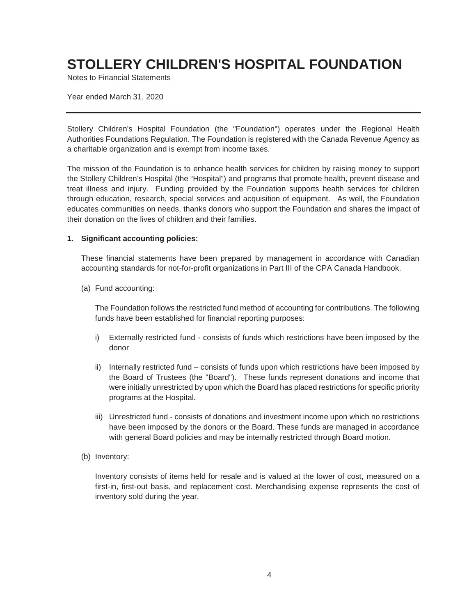Notes to Financial Statements

Year ended March 31, 2020

Stollery Children's Hospital Foundation (the "Foundation") operates under the Regional Health Authorities Foundations Regulation. The Foundation is registered with the Canada Revenue Agency as a charitable organization and is exempt from income taxes.

The mission of the Foundation is to enhance health services for children by raising money to support the Stollery Children's Hospital (the "Hospital") and programs that promote health, prevent disease and treat illness and injury. Funding provided by the Foundation supports health services for children through education, research, special services and acquisition of equipment. As well, the Foundation educates communities on needs, thanks donors who support the Foundation and shares the impact of their donation on the lives of children and their families.

#### **1. Significant accounting policies:**

These financial statements have been prepared by management in accordance with Canadian accounting standards for not-for-profit organizations in Part III of the CPA Canada Handbook.

(a) Fund accounting:

The Foundation follows the restricted fund method of accounting for contributions. The following funds have been established for financial reporting purposes:

- i) Externally restricted fund consists of funds which restrictions have been imposed by the donor
- ii) Internally restricted fund consists of funds upon which restrictions have been imposed by the Board of Trustees (the "Board"). These funds represent donations and income that were initially unrestricted by upon which the Board has placed restrictions for specific priority programs at the Hospital.
- iii) Unrestricted fund consists of donations and investment income upon which no restrictions have been imposed by the donors or the Board. These funds are managed in accordance with general Board policies and may be internally restricted through Board motion.
- (b) Inventory:

Inventory consists of items held for resale and is valued at the lower of cost, measured on a first-in, first-out basis, and replacement cost. Merchandising expense represents the cost of inventory sold during the year.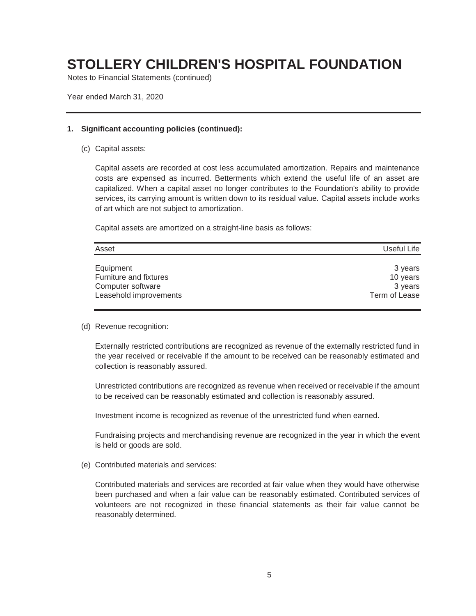Notes to Financial Statements (continued)

Year ended March 31, 2020

#### **1. Significant accounting policies (continued):**

(c) Capital assets:

Capital assets are recorded at cost less accumulated amortization. Repairs and maintenance costs are expensed as incurred. Betterments which extend the useful life of an asset are capitalized. When a capital asset no longer contributes to the Foundation's ability to provide services, its carrying amount is written down to its residual value. Capital assets include works of art which are not subject to amortization.

Capital assets are amortized on a straight-line basis as follows:

| Equipment<br>Furniture and fixtures<br>Computer software<br>Leasehold improvements<br>Term of Lease | 3 years<br>10 years<br>3 years |
|-----------------------------------------------------------------------------------------------------|--------------------------------|

#### (d) Revenue recognition:

Externally restricted contributions are recognized as revenue of the externally restricted fund in the year received or receivable if the amount to be received can be reasonably estimated and collection is reasonably assured.

Unrestricted contributions are recognized as revenue when received or receivable if the amount to be received can be reasonably estimated and collection is reasonably assured.

Investment income is recognized as revenue of the unrestricted fund when earned.

Fundraising projects and merchandising revenue are recognized in the year in which the event is held or goods are sold.

(e) Contributed materials and services:

Contributed materials and services are recorded at fair value when they would have otherwise been purchased and when a fair value can be reasonably estimated. Contributed services of volunteers are not recognized in these financial statements as their fair value cannot be reasonably determined.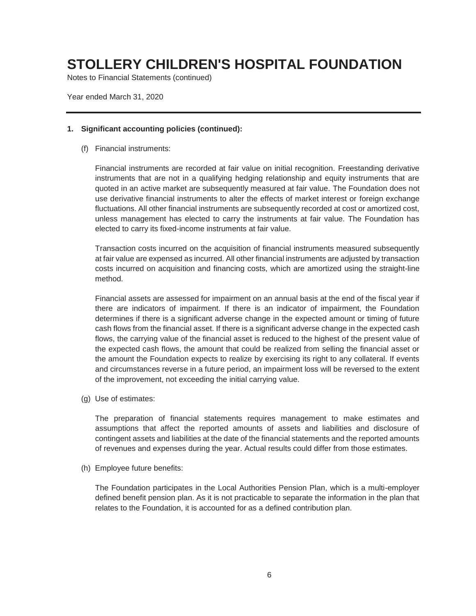Notes to Financial Statements (continued)

Year ended March 31, 2020

#### **1. Significant accounting policies (continued):**

(f) Financial instruments:

Financial instruments are recorded at fair value on initial recognition. Freestanding derivative instruments that are not in a qualifying hedging relationship and equity instruments that are quoted in an active market are subsequently measured at fair value. The Foundation does not use derivative financial instruments to alter the effects of market interest or foreign exchange fluctuations. All other financial instruments are subsequently recorded at cost or amortized cost, unless management has elected to carry the instruments at fair value. The Foundation has elected to carry its fixed-income instruments at fair value.

Transaction costs incurred on the acquisition of financial instruments measured subsequently at fair value are expensed as incurred. All other financial instruments are adjusted by transaction costs incurred on acquisition and financing costs, which are amortized using the straight-line method.

Financial assets are assessed for impairment on an annual basis at the end of the fiscal year if there are indicators of impairment. If there is an indicator of impairment, the Foundation determines if there is a significant adverse change in the expected amount or timing of future cash flows from the financial asset. If there is a significant adverse change in the expected cash flows, the carrying value of the financial asset is reduced to the highest of the present value of the expected cash flows, the amount that could be realized from selling the financial asset or the amount the Foundation expects to realize by exercising its right to any collateral. If events and circumstances reverse in a future period, an impairment loss will be reversed to the extent of the improvement, not exceeding the initial carrying value.

(g) Use of estimates:

The preparation of financial statements requires management to make estimates and assumptions that affect the reported amounts of assets and liabilities and disclosure of contingent assets and liabilities at the date of the financial statements and the reported amounts of revenues and expenses during the year. Actual results could differ from those estimates.

(h) Employee future benefits:

The Foundation participates in the Local Authorities Pension Plan, which is a multi-employer defined benefit pension plan. As it is not practicable to separate the information in the plan that relates to the Foundation, it is accounted for as a defined contribution plan.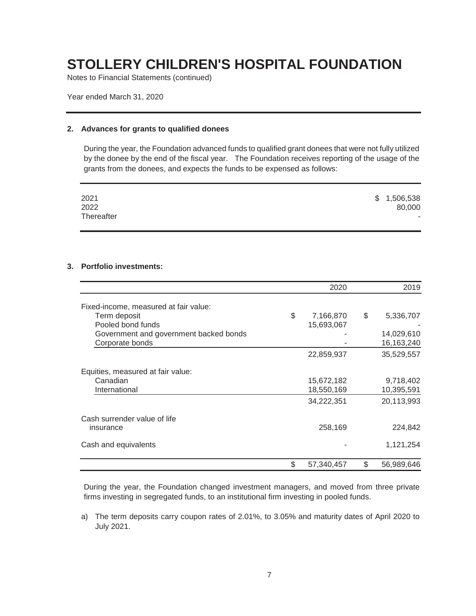Notes to Financial Statements (continued)

Year ended March 31, 2020

#### **2. Advances for grants to qualified donees**

During the year, the Foundation advanced funds to qualified grant donees that were not fully utilized by the donee by the end of the fiscal year. The Foundation receives reporting of the usage of the grants from the donees, and expects the funds to be expensed as follows:

| 2021<br>2022 | \$1,506,538<br>80,000 |
|--------------|-----------------------|
| Thereafter   |                       |

#### **3. Portfolio investments:**

|                                                                                                                                         | 2020                          | 2019                                        |
|-----------------------------------------------------------------------------------------------------------------------------------------|-------------------------------|---------------------------------------------|
| Fixed-income, measured at fair value:<br>Term deposit<br>Pooled bond funds<br>Government and government backed bonds<br>Corporate bonds | \$<br>7,166,870<br>15,693,067 | \$<br>5,336,707<br>14,029,610<br>16,163,240 |
|                                                                                                                                         | 22,859,937                    | 35,529,557                                  |
| Equities, measured at fair value:<br>Canadian<br>International                                                                          | 15,672,182<br>18,550,169      | 9,718,402<br>10,395,591                     |
|                                                                                                                                         | 34,222,351                    | 20,113,993                                  |
| Cash surrender value of life<br>insurance                                                                                               | 258,169                       | 224,842                                     |
| Cash and equivalents                                                                                                                    |                               | 1,121,254                                   |
|                                                                                                                                         | \$<br>57,340,457              | \$<br>56,989,646                            |

During the year, the Foundation changed investment managers, and moved from three private firms investing in segregated funds, to an institutional firm investing in pooled funds.

a) The term deposits carry coupon rates of 2.01%, to 3.05% and maturity dates of April 2020 to July 2021.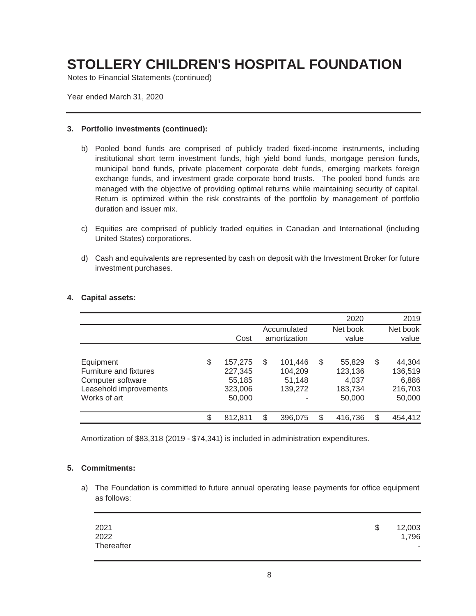Notes to Financial Statements (continued)

Year ended March 31, 2020

#### **3. Portfolio investments (continued):**

- b) Pooled bond funds are comprised of publicly traded fixed-income instruments, including institutional short term investment funds, high yield bond funds, mortgage pension funds, municipal bond funds, private placement corporate debt funds, emerging markets foreign exchange funds, and investment grade corporate bond trusts. The pooled bond funds are managed with the objective of providing optimal returns while maintaining security of capital. Return is optimized within the risk constraints of the portfolio by management of portfolio duration and issuer mix.
- c) Equities are comprised of publicly traded equities in Canadian and International (including United States) corporations.
- d) Cash and equivalents are represented by cash on deposit with the Investment Broker for future investment purchases.

|                                                                                                    |                                                         |                                               | 2020                                                  |    | 2019                                            |
|----------------------------------------------------------------------------------------------------|---------------------------------------------------------|-----------------------------------------------|-------------------------------------------------------|----|-------------------------------------------------|
|                                                                                                    | Cost                                                    | Accumulated<br>amortization                   | Net book<br>value                                     |    | Net book<br>value                               |
| Equipment<br>Furniture and fixtures<br>Computer software<br>Leasehold improvements<br>Works of art | \$<br>157,275<br>227,345<br>55,185<br>323,006<br>50,000 | \$<br>101,446<br>104,209<br>51,148<br>139,272 | \$<br>55,829<br>123,136<br>4,037<br>183,734<br>50,000 | \$ | 44,304<br>136,519<br>6,886<br>216,703<br>50,000 |
|                                                                                                    | \$<br>812.811                                           | \$<br>396,075                                 | \$<br>416,736                                         | S  | 454,412                                         |

#### **4. Capital assets:**

Amortization of \$83,318 (2019 - \$74,341) is included in administration expenditures.

#### **5. Commitments:**

a) The Foundation is committed to future annual operating lease payments for office equipment as follows:

| 2021       | -\$ | 12,003 |
|------------|-----|--------|
| 2022       |     | 1,796  |
| Thereafter |     | н.     |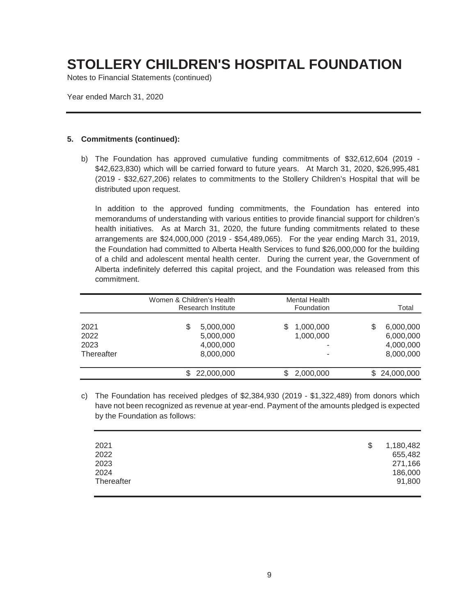Notes to Financial Statements (continued)

Year ended March 31, 2020

#### **5. Commitments (continued):**

b) The Foundation has approved cumulative funding commitments of \$32,612,604 (2019 - \$42,623,830) which will be carried forward to future years. At March 31, 2020, \$26,995,481 (2019 - \$32,627,206) relates to commitments to the Stollery Children's Hospital that will be distributed upon request.

In addition to the approved funding commitments, the Foundation has entered into memorandums of understanding with various entities to provide financial support for children's health initiatives. As at March 31, 2020, the future funding commitments related to these arrangements are \$24,000,000 (2019 - \$54,489,065). For the year ending March 31, 2019, the Foundation had committed to Alberta Health Services to fund \$26,000,000 for the building of a child and adolescent mental health center. During the current year, the Government of Alberta indefinitely deferred this capital project, and the Foundation was released from this commitment.

|                                    | Women & Children's Health<br><b>Research Institute</b> | <b>Mental Health</b><br>Foundation |                                                        |
|------------------------------------|--------------------------------------------------------|------------------------------------|--------------------------------------------------------|
| 2021<br>2022<br>2023<br>Thereafter | S<br>5,000,000<br>5,000,000<br>4,000,000<br>8,000,000  | 1,000,000<br>1,000,000<br>۰<br>۰   | \$<br>6,000,000<br>6,000,000<br>4,000,000<br>8,000,000 |
|                                    | 22,000,000                                             | 2,000,000                          | 24,000,000                                             |

c) The Foundation has received pledges of \$2,384,930 (2019 - \$1,322,489) from donors which have not been recognized as revenue at year-end. Payment of the amounts pledged is expected by the Foundation as follows:

| 2021<br>2022<br>2023<br>2024 | - \$ | 1,180,482<br>655,482<br>271,166<br>186,000 |
|------------------------------|------|--------------------------------------------|
| Thereafter                   |      | 91,800                                     |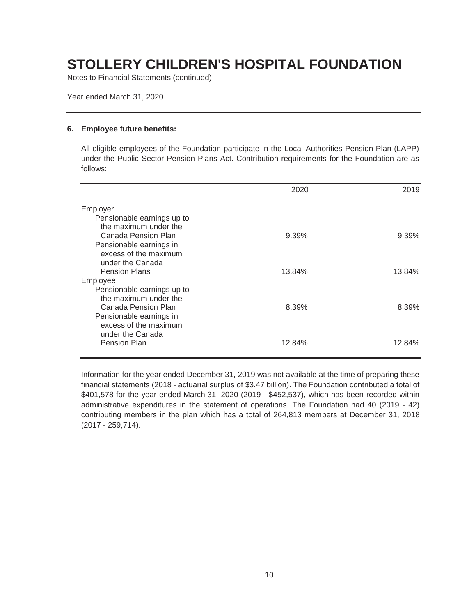Notes to Financial Statements (continued)

Year ended March 31, 2020

#### **6. Employee future benefits:**

All eligible employees of the Foundation participate in the Local Authorities Pension Plan (LAPP) under the Public Sector Pension Plans Act. Contribution requirements for the Foundation are as follows:

|                            | 2020   | 2019     |
|----------------------------|--------|----------|
| Employer                   |        |          |
| Pensionable earnings up to |        |          |
| the maximum under the      |        |          |
| Canada Pension Plan        | 9.39%  | $9.39\%$ |
| Pensionable earnings in    |        |          |
| excess of the maximum      |        |          |
| under the Canada           |        |          |
| <b>Pension Plans</b>       | 13.84% | 13.84%   |
| Employee                   |        |          |
| Pensionable earnings up to |        |          |
| the maximum under the      |        |          |
| Canada Pension Plan        | 8.39%  | 8.39%    |
| Pensionable earnings in    |        |          |
| excess of the maximum      |        |          |
| under the Canada           |        |          |
| <b>Pension Plan</b>        | 12.84% | 12.84%   |
|                            |        |          |

Information for the year ended December 31, 2019 was not available at the time of preparing these financial statements (2018 - actuarial surplus of \$3.47 billion). The Foundation contributed a total of \$401,578 for the year ended March 31, 2020 (2019 - \$452,537), which has been recorded within administrative expenditures in the statement of operations. The Foundation had 40 (2019 - 42) contributing members in the plan which has a total of 264,813 members at December 31, 2018 (2017 - 259,714).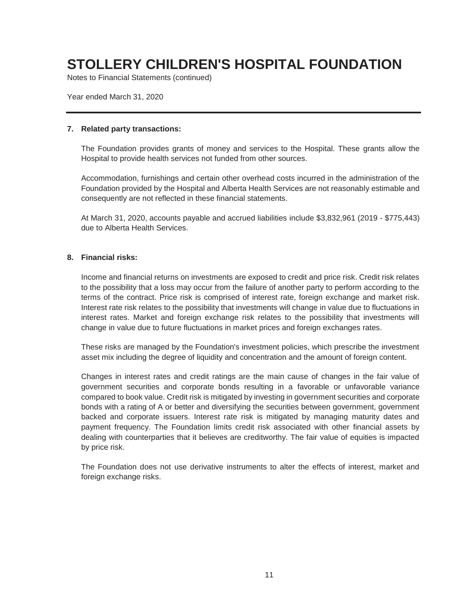Notes to Financial Statements (continued)

Year ended March 31, 2020

#### **7. Related party transactions:**

The Foundation provides grants of money and services to the Hospital. These grants allow the Hospital to provide health services not funded from other sources.

Accommodation, furnishings and certain other overhead costs incurred in the administration of the Foundation provided by the Hospital and Alberta Health Services are not reasonably estimable and consequently are not reflected in these financial statements.

At March 31, 2020, accounts payable and accrued liabilities include \$3,832,961 (2019 - \$775,443) due to Alberta Health Services.

#### **8. Financial risks:**

Income and financial returns on investments are exposed to credit and price risk. Credit risk relates to the possibility that a loss may occur from the failure of another party to perform according to the terms of the contract. Price risk is comprised of interest rate, foreign exchange and market risk. Interest rate risk relates to the possibility that investments will change in value due to fluctuations in interest rates. Market and foreign exchange risk relates to the possibility that investments will change in value due to future fluctuations in market prices and foreign exchanges rates.

These risks are managed by the Foundation's investment policies, which prescribe the investment asset mix including the degree of liquidity and concentration and the amount of foreign content.

Changes in interest rates and credit ratings are the main cause of changes in the fair value of government securities and corporate bonds resulting in a favorable or unfavorable variance compared to book value. Credit risk is mitigated by investing in government securities and corporate bonds with a rating of A or better and diversifying the securities between government, government backed and corporate issuers. Interest rate risk is mitigated by managing maturity dates and payment frequency. The Foundation limits credit risk associated with other financial assets by dealing with counterparties that it believes are creditworthy. The fair value of equities is impacted by price risk.

The Foundation does not use derivative instruments to alter the effects of interest, market and foreign exchange risks.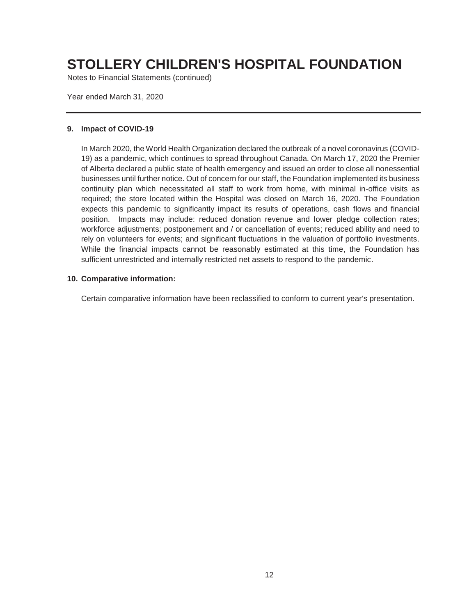Notes to Financial Statements (continued)

Year ended March 31, 2020

#### **9. Impact of COVID-19**

In March 2020, the World Health Organization declared the outbreak of a novel coronavirus (COVID-19) as a pandemic, which continues to spread throughout Canada. On March 17, 2020 the Premier of Alberta declared a public state of health emergency and issued an order to close all nonessential businesses until further notice. Out of concern for our staff, the Foundation implemented its business continuity plan which necessitated all staff to work from home, with minimal in-office visits as required; the store located within the Hospital was closed on March 16, 2020. The Foundation expects this pandemic to significantly impact its results of operations, cash flows and financial position. Impacts may include: reduced donation revenue and lower pledge collection rates; workforce adjustments; postponement and / or cancellation of events; reduced ability and need to rely on volunteers for events; and significant fluctuations in the valuation of portfolio investments. While the financial impacts cannot be reasonably estimated at this time, the Foundation has sufficient unrestricted and internally restricted net assets to respond to the pandemic.

#### **10. Comparative information:**

Certain comparative information have been reclassified to conform to current year's presentation.